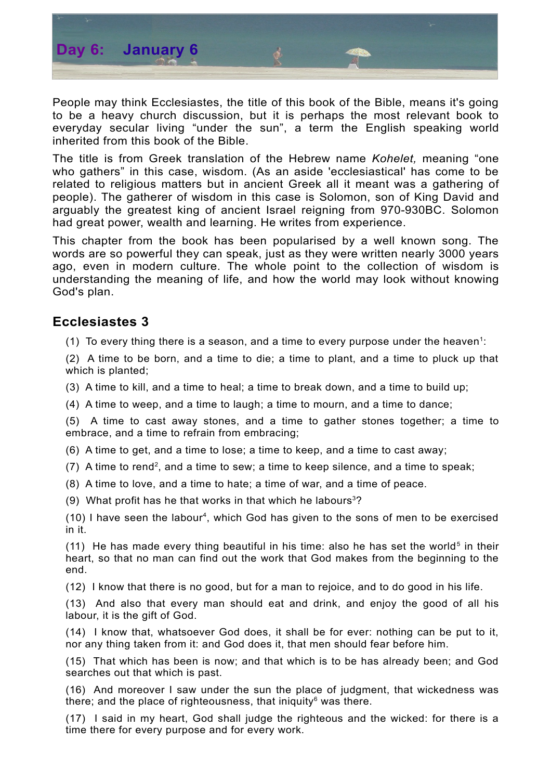

People may think Ecclesiastes, the title of this book of the Bible, means it's going to be a heavy church discussion, but it is perhaps the most relevant book to everyday secular living "under the sun", a term the English speaking world inherited from this book of the Bible.

The title is from Greek translation of the Hebrew name *Kohelet,* meaning "one who gathers" in this case, wisdom. (As an aside 'ecclesiastical' has come to be related to religious matters but in ancient Greek all it meant was a gathering of people). The gatherer of wisdom in this case is Solomon, son of King David and arguably the greatest king of ancient Israel reigning from 970-930BC. Solomon had great power, wealth and learning. He writes from experience.

This chapter from the book has been popularised by a well known song. The words are so powerful they can speak, just as they were written nearly 3000 years ago, even in modern culture. The whole point to the collection of wisdom is understanding the meaning of life, and how the world may look without knowing God's plan.

## **Ecclesiastes 3**

([1](#page-1-0)) To every thing there is a season, and a time to every purpose under the heaven<sup>1</sup>:

(2) A time to be born, and a time to die; a time to plant, and a time to pluck up that which is planted;

(3) A time to kill, and a time to heal; a time to break down, and a time to build up;

(4) A time to weep, and a time to laugh; a time to mourn, and a time to dance;

(5) A time to cast away stones, and a time to gather stones together; a time to embrace, and a time to refrain from embracing;

(6) A time to get, and a time to lose; a time to keep, and a time to cast away;

- $(7)$  A time to rend<sup>[2](#page-1-1)</sup>, and a time to sew; a time to keep silence, and a time to speak;
- (8) A time to love, and a time to hate; a time of war, and a time of peace.
- (9) What profit has he that works in that which he labours<sup>[3](#page-1-2)</sup>?

(10) I have seen the labour<sup>[4](#page-1-3)</sup>, which God has given to the sons of men to be exercised in it.

(11) He has made every thing beautiful in his time: also he has set the world<sup>[5](#page-1-4)</sup> in their heart, so that no man can find out the work that God makes from the beginning to the end.

(12) I know that there is no good, but for a man to rejoice, and to do good in his life.

(13) And also that every man should eat and drink, and enjoy the good of all his labour, it is the gift of God.

(14) I know that, whatsoever God does, it shall be for ever: nothing can be put to it, nor any thing taken from it: and God does it, that men should fear before him.

(15) That which has been is now; and that which is to be has already been; and God searches out that which is past.

(16) And moreover I saw under the sun the place of judgment, that wickedness was there; and the place of righteousness, that iniquity<sup>[6](#page-1-5)</sup> was there.

(17) I said in my heart, God shall judge the righteous and the wicked: for there is a time there for every purpose and for every work.